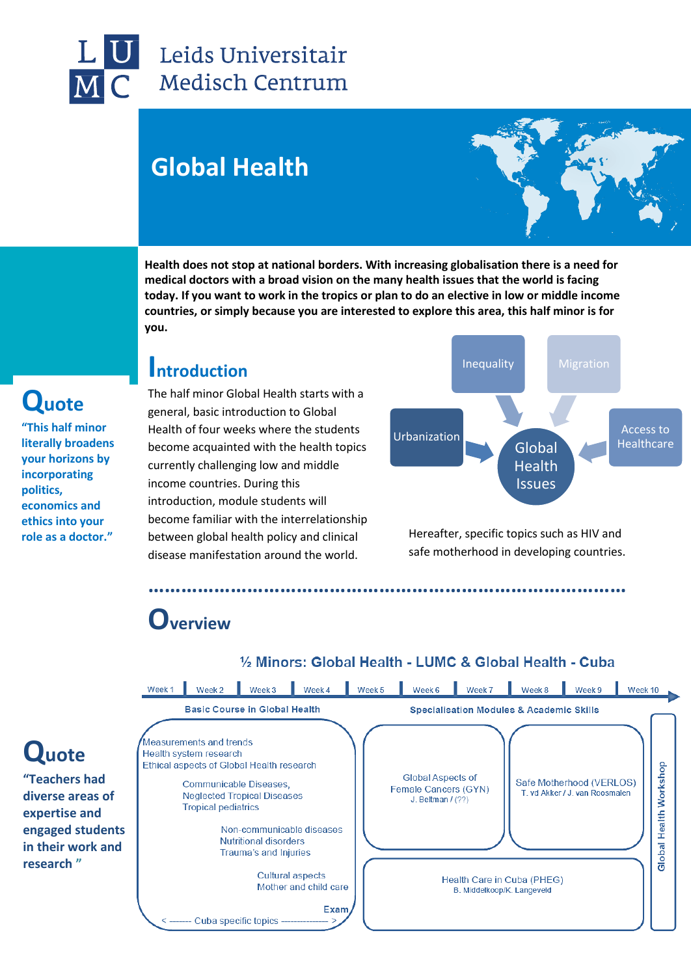

### Leids Universitair **Medisch Centrum**

# **Global Health**



**Health does not stop at national borders. With increasing globalisation there is a need for medical doctors with a broad vision on the many health issues that the world is facing today. If you want to work in the tropics or plan to do an elective in low or middle income countries, or simply because you are interested to explore this area, this half minor is for you.**

### **Introduction**

The half minor Global Health starts with a general, basic introduction to Global Health of four weeks where the students become acquainted with the health topics currently challenging low and middle income countries. During this introduction, module students will become familiar with the interrelationship between global health policy and clinical disease manifestation around the world.



Hereafter, specific topics such as HIV and safe motherhood in developing countries.

# **Overview**



**……………………………………………………………………………**

#### 1/2 Minors: Global Health - LUMC & Global Health - Cuba

# **Quote**

**"This half minor literally broadens your horizons by incorporating politics, economics and ethics into your role as a doctor."**

**Quote** 

**research "**